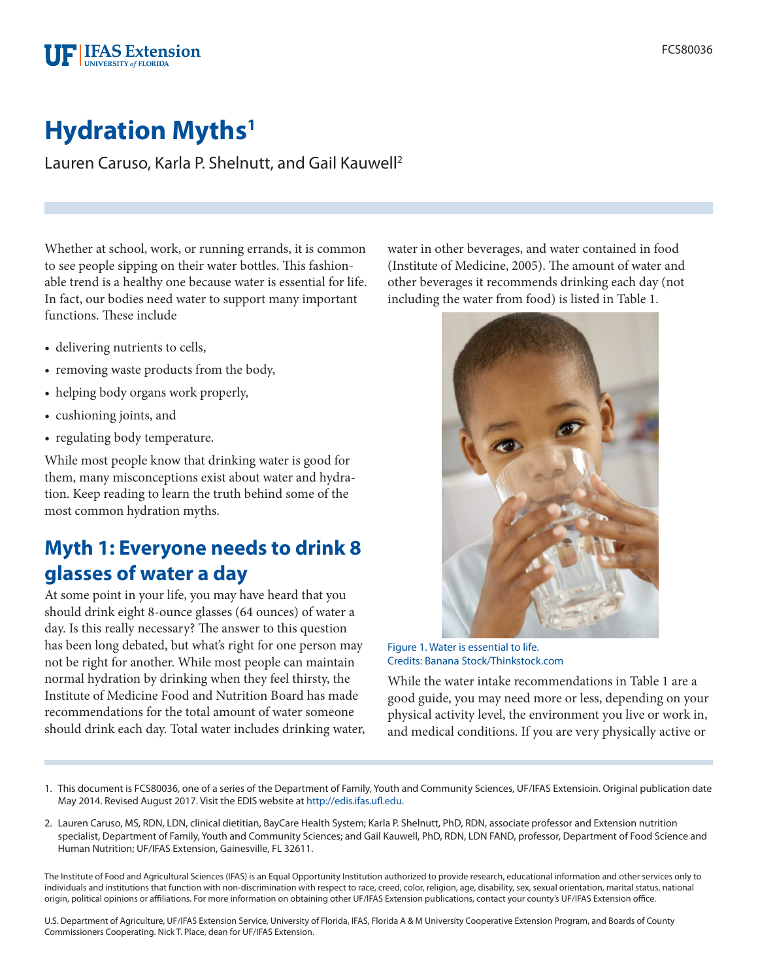# **Hydration Myths<sup>1</sup>**

**FIFAS** Extension **INIVERSITY of FLORIDA** 

Lauren Caruso, Karla P. Shelnutt, and Gail Kauwell2

Whether at school, work, or running errands, it is common to see people sipping on their water bottles. This fashionable trend is a healthy one because water is essential for life. In fact, our bodies need water to support many important functions. These include

- delivering nutrients to cells,
- removing waste products from the body,
- helping body organs work properly,
- cushioning joints, and
- regulating body temperature.

While most people know that drinking water is good for them, many misconceptions exist about water and hydration. Keep reading to learn the truth behind some of the most common hydration myths.

#### **Myth 1: Everyone needs to drink 8 glasses of water a day**

At some point in your life, you may have heard that you should drink eight 8-ounce glasses (64 ounces) of water a day. Is this really necessary? The answer to this question has been long debated, but what's right for one person may not be right for another. While most people can maintain normal hydration by drinking when they feel thirsty, the Institute of Medicine Food and Nutrition Board has made recommendations for the total amount of water someone should drink each day. Total water includes drinking water, water in other beverages, and water contained in food (Institute of Medicine, 2005). The amount of water and other beverages it recommends drinking each day (not including the water from food) is listed in Table 1.



Figure 1. Water is essential to life. Credits: Banana Stock/Thinkstock.com

While the water intake recommendations in Table 1 are a good guide, you may need more or less, depending on your physical activity level, the environment you live or work in, and medical conditions. If you are very physically active or

- 1. This document is FCS80036, one of a series of the Department of Family, Youth and Community Sciences, UF/IFAS Extensioin. Original publication date May 2014. Revised August 2017. Visit the EDIS website at [http://edis.ifas.ufl.edu.](http://edis.ifas.ufl.edu)
- 2. Lauren Caruso, MS, RDN, LDN, clinical dietitian, BayCare Health System; Karla P. Shelnutt, PhD, RDN, associate professor and Extension nutrition specialist, Department of Family, Youth and Community Sciences; and Gail Kauwell, PhD, RDN, LDN FAND, professor, Department of Food Science and Human Nutrition; UF/IFAS Extension, Gainesville, FL 32611.

The Institute of Food and Agricultural Sciences (IFAS) is an Equal Opportunity Institution authorized to provide research, educational information and other services only to individuals and institutions that function with non-discrimination with respect to race, creed, color, religion, age, disability, sex, sexual orientation, marital status, national origin, political opinions or affiliations. For more information on obtaining other UF/IFAS Extension publications, contact your county's UF/IFAS Extension office.

U.S. Department of Agriculture, UF/IFAS Extension Service, University of Florida, IFAS, Florida A & M University Cooperative Extension Program, and Boards of County Commissioners Cooperating. Nick T. Place, dean for UF/IFAS Extension.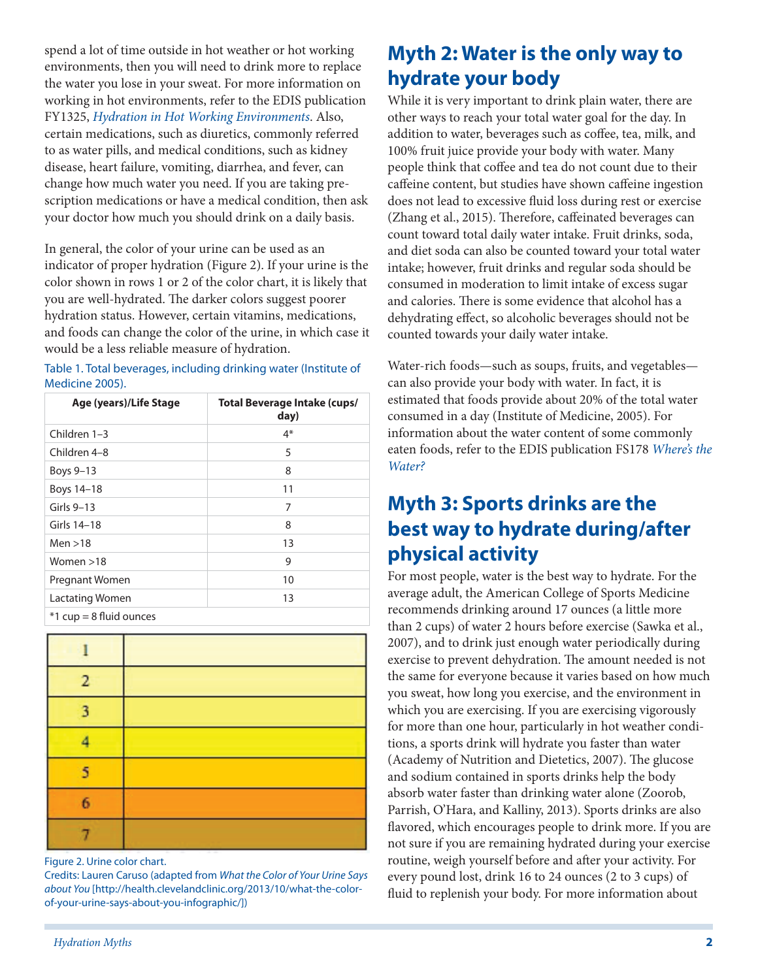spend a lot of time outside in hot weather or hot working environments, then you will need to drink more to replace the water you lose in your sweat. For more information on working in hot environments, refer to the EDIS publication FY1325, *[Hydration in Hot Working Environments](http://edis.ifas.ufl.edu/fy1325)*. Also, certain medications, such as diuretics, commonly referred to as water pills, and medical conditions, such as kidney disease, heart failure, vomiting, diarrhea, and fever, can change how much water you need. If you are taking prescription medications or have a medical condition, then ask your doctor how much you should drink on a daily basis.

In general, the color of your urine can be used as an indicator of proper hydration (Figure 2). If your urine is the color shown in rows 1 or 2 of the color chart, it is likely that you are well-hydrated. The darker colors suggest poorer hydration status. However, certain vitamins, medications, and foods can change the color of the urine, in which case it would be a less reliable measure of hydration.

| Table 1. Total beverages, including drinking water (Institute of |  |  |
|------------------------------------------------------------------|--|--|
| Medicine 2005).                                                  |  |  |

| Age (years)/Life Stage    | <b>Total Beverage Intake (cups/</b><br>day) |
|---------------------------|---------------------------------------------|
| Children 1-3              | $4*$                                        |
| Children 4-8              | 5                                           |
| Boys 9-13                 | 8                                           |
| Boys 14-18                | 11                                          |
| Girls 9-13                | 7                                           |
| Girls 14-18               | 8                                           |
| Men > 18                  | 13                                          |
| Women $>18$               | 9                                           |
| Pregnant Women            | 10                                          |
| Lactating Women           | 13                                          |
| $*1$ cup = 8 fluid ounces |                                             |

| ٠              |  |
|----------------|--|
| $\overline{2}$ |  |
| 3              |  |
| g              |  |
| 5              |  |
| 6              |  |
|                |  |

Figure 2. Urine color chart.

Credits: Lauren Caruso (adapted from *What the Color of Your Urine Says about You* [[http://health.clevelandclinic.org/2013/10/what-the-color](http://health.clevelandclinic.org/2013/10/what-the-color-of-your-urine-says-about-you-infographic/)[of-your-urine-says-about-you-infographic/\]](http://health.clevelandclinic.org/2013/10/what-the-color-of-your-urine-says-about-you-infographic/))

## **Myth 2: Water is the only way to hydrate your body**

While it is very important to drink plain water, there are other ways to reach your total water goal for the day. In addition to water, beverages such as coffee, tea, milk, and 100% fruit juice provide your body with water. Many people think that coffee and tea do not count due to their caffeine content, but studies have shown caffeine ingestion does not lead to excessive fluid loss during rest or exercise (Zhang et al., 2015). Therefore, caffeinated beverages can count toward total daily water intake. Fruit drinks, soda, and diet soda can also be counted toward your total water intake; however, fruit drinks and regular soda should be consumed in moderation to limit intake of excess sugar and calories. There is some evidence that alcohol has a dehydrating effect, so alcoholic beverages should not be counted towards your daily water intake.

Water-rich foods—such as soups, fruits, and vegetables can also provide your body with water. In fact, it is estimated that foods provide about 20% of the total water consumed in a day (Institute of Medicine, 2005). For information about the water content of some commonly eaten foods, refer to the EDIS publication FS178 *[Where's the](http://edis.ifas.ufl.edu/fs178)  [Water?](http://edis.ifas.ufl.edu/fs178)*

### **Myth 3: Sports drinks are the best way to hydrate during/after physical activity**

For most people, water is the best way to hydrate. For the average adult, the American College of Sports Medicine recommends drinking around 17 ounces (a little more than 2 cups) of water 2 hours before exercise (Sawka et al., 2007), and to drink just enough water periodically during exercise to prevent dehydration. The amount needed is not the same for everyone because it varies based on how much you sweat, how long you exercise, and the environment in which you are exercising. If you are exercising vigorously for more than one hour, particularly in hot weather conditions, a sports drink will hydrate you faster than water (Academy of Nutrition and Dietetics, 2007). The glucose and sodium contained in sports drinks help the body absorb water faster than drinking water alone (Zoorob, Parrish, O'Hara, and Kalliny, 2013). Sports drinks are also flavored, which encourages people to drink more. If you are not sure if you are remaining hydrated during your exercise routine, weigh yourself before and after your activity. For every pound lost, drink 16 to 24 ounces (2 to 3 cups) of fluid to replenish your body. For more information about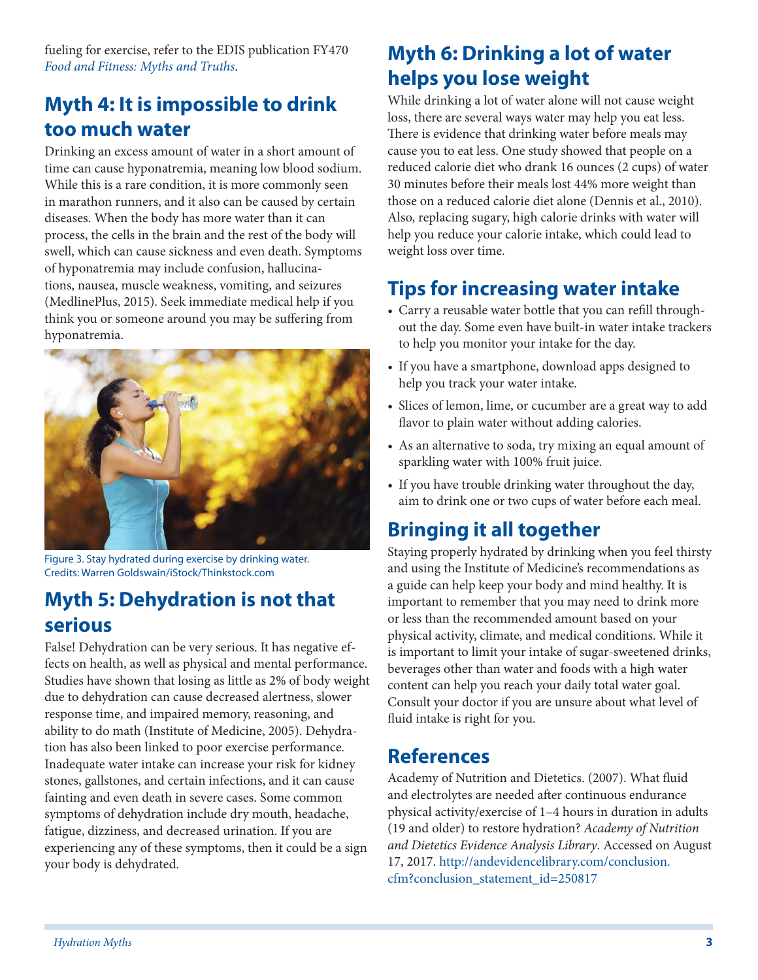fueling for exercise, refer to the EDIS publication FY470 *[Food and Fitness: Myths and Truths](http://edis.ifas.ufl.edu/fy470)*.

## **Myth 4: It is impossible to drink too much water**

Drinking an excess amount of water in a short amount of time can cause hyponatremia, meaning low blood sodium. While this is a rare condition, it is more commonly seen in marathon runners, and it also can be caused by certain diseases. When the body has more water than it can process, the cells in the brain and the rest of the body will swell, which can cause sickness and even death. Symptoms of hyponatremia may include confusion, hallucinations, nausea, muscle weakness, vomiting, and seizures (MedlinePlus, 2015). Seek immediate medical help if you think you or someone around you may be suffering from hyponatremia.



Figure 3. Stay hydrated during exercise by drinking water. Credits: Warren Goldswain/iStock/Thinkstock.com

#### **Myth 5: Dehydration is not that serious**

False! Dehydration can be very serious. It has negative effects on health, as well as physical and mental performance. Studies have shown that losing as little as 2% of body weight due to dehydration can cause decreased alertness, slower response time, and impaired memory, reasoning, and ability to do math (Institute of Medicine, 2005). Dehydration has also been linked to poor exercise performance. Inadequate water intake can increase your risk for kidney stones, gallstones, and certain infections, and it can cause fainting and even death in severe cases. Some common symptoms of dehydration include dry mouth, headache, fatigue, dizziness, and decreased urination. If you are experiencing any of these symptoms, then it could be a sign your body is dehydrated.

## **Myth 6: Drinking a lot of water helps you lose weight**

While drinking a lot of water alone will not cause weight loss, there are several ways water may help you eat less. There is evidence that drinking water before meals may cause you to eat less. One study showed that people on a reduced calorie diet who drank 16 ounces (2 cups) of water 30 minutes before their meals lost 44% more weight than those on a reduced calorie diet alone (Dennis et al., 2010). Also, replacing sugary, high calorie drinks with water will help you reduce your calorie intake, which could lead to weight loss over time.

# **Tips for increasing water intake**

- Carry a reusable water bottle that you can refill throughout the day. Some even have built-in water intake trackers to help you monitor your intake for the day.
- If you have a smartphone, download apps designed to help you track your water intake.
- Slices of lemon, lime, or cucumber are a great way to add flavor to plain water without adding calories.
- As an alternative to soda, try mixing an equal amount of sparkling water with 100% fruit juice.
- If you have trouble drinking water throughout the day, aim to drink one or two cups of water before each meal.

# **Bringing it all together**

Staying properly hydrated by drinking when you feel thirsty and using the Institute of Medicine's recommendations as a guide can help keep your body and mind healthy. It is important to remember that you may need to drink more or less than the recommended amount based on your physical activity, climate, and medical conditions. While it is important to limit your intake of sugar-sweetened drinks, beverages other than water and foods with a high water content can help you reach your daily total water goal. Consult your doctor if you are unsure about what level of fluid intake is right for you.

#### **References**

Academy of Nutrition and Dietetics. (2007). What fluid and electrolytes are needed after continuous endurance physical activity/exercise of 1–4 hours in duration in adults (19 and older) to restore hydration? *Academy of Nutrition and Dietetics Evidence Analysis Library*. Accessed on August 17, 2017. [http://andevidencelibrary.com/conclusion.](http://andevidencelibrary.com/conclusion.cfm?conclusion_statement_id=250817) [cfm?conclusion\\_statement\\_id=250817](http://andevidencelibrary.com/conclusion.cfm?conclusion_statement_id=250817)